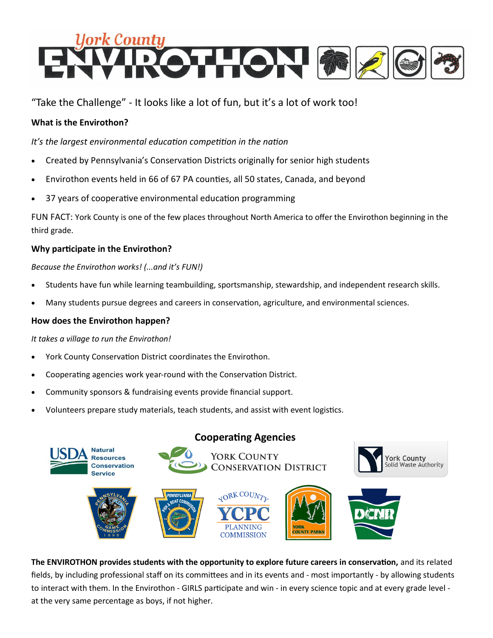

"Take the Challenge" - It looks like a lot of fun, but it's a lot of work too!

#### **What is the Envirothon?**

*It's the largest environmental education competition in the nation*

- Created by Pennsylvania's Conservation Districts originally for senior high students
- Envirothon events held in 66 of 67 PA counties, all 50 states, Canada, and beyond
- 37 years of cooperative environmental education programming

FUN FACT: York County is one of the few places throughout North America to offer the Envirothon beginning in the third grade.

#### **Why participate in the Envirothon?**

*Because the Envirothon works! (...and it's FUN!)*

- Students have fun while learning teambuilding, sportsmanship, stewardship, and independent research skills.
- Many students pursue degrees and careers in conservation, agriculture, and environmental sciences.

#### **How does the Envirothon happen?**

*It takes a village to run the Envirothon!*

- York County Conservation District coordinates the Envirothon.
- Cooperating agencies work year-round with the Conservation District.
- Community sponsors & fundraising events provide financial support.
- Volunteers prepare study materials, teach students, and assist with event logistics.



**The ENVIROTHON provides students with the opportunity to explore future careers in conservation,** and its related fields, by including professional staff on its committees and in its events and - most importantly - by allowing students to interact with them. In the Envirothon - GIRLS participate and win - in every science topic and at every grade level at the very same percentage as boys, if not higher.